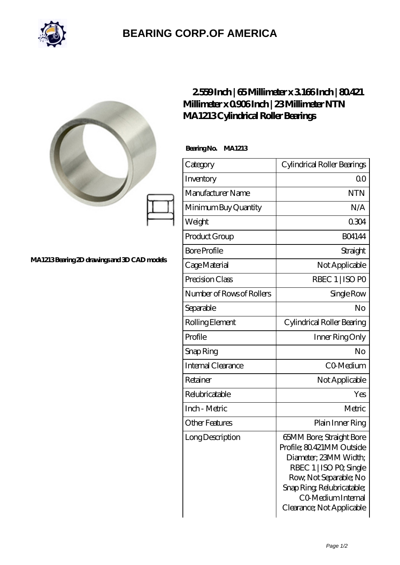

## **[BEARING CORP.OF AMERICA](https://m.bluemondayreview.com)**

|                                             |                           | 2559Inch   65Millimeter x 3166Inch   80421<br>Millimeter x 0906Inch   23Millimeter NTN<br>MA1213Cylindrical Roller Bearings                                                                                         |  |
|---------------------------------------------|---------------------------|---------------------------------------------------------------------------------------------------------------------------------------------------------------------------------------------------------------------|--|
|                                             | BearingNo. MA1213         |                                                                                                                                                                                                                     |  |
| MA1213Bearing 2D drawings and 3D CAD models | Category                  | Cylindrical Roller Bearings                                                                                                                                                                                         |  |
|                                             | Inventory                 | 0 <sup>0</sup>                                                                                                                                                                                                      |  |
|                                             | Manufacturer Name         | <b>NTN</b>                                                                                                                                                                                                          |  |
|                                             | Minimum Buy Quantity      | N/A                                                                                                                                                                                                                 |  |
|                                             | Weight                    | 0304                                                                                                                                                                                                                |  |
|                                             | Product Group             | <b>BO4144</b>                                                                                                                                                                                                       |  |
|                                             | <b>Bore Profile</b>       | Straight                                                                                                                                                                                                            |  |
|                                             | Cage Material             | Not Applicable                                                                                                                                                                                                      |  |
|                                             | Precision Class           | RBEC 1   ISO PO                                                                                                                                                                                                     |  |
|                                             | Number of Rows of Rollers | Single Row                                                                                                                                                                                                          |  |
|                                             | Separable                 | N <sub>o</sub>                                                                                                                                                                                                      |  |
|                                             | Rolling Element           | Cylindrical Roller Bearing                                                                                                                                                                                          |  |
|                                             | Profile                   | Inner Ring Only                                                                                                                                                                                                     |  |
|                                             | Snap Ring                 | No                                                                                                                                                                                                                  |  |
|                                             | <b>Internal Clearance</b> | CO-Medium                                                                                                                                                                                                           |  |
|                                             | Retainer                  | Not Applicable                                                                                                                                                                                                      |  |
|                                             | Relubricatable            | Yes                                                                                                                                                                                                                 |  |
|                                             | Inch - Metric             | Metric                                                                                                                                                                                                              |  |
|                                             | <b>Other Features</b>     | Plain Inner Ring                                                                                                                                                                                                    |  |
|                                             | Long Description          | 65MM Bore; Straight Bore<br>Profile; 80.421MM Outside<br>Diameter; 23MM Width;<br>RBEC 1   ISO PO, Single<br>Row, Not Separable; No<br>Snap Ring Relubricatable;<br>CO Medium Internal<br>Clearance; Not Applicable |  |